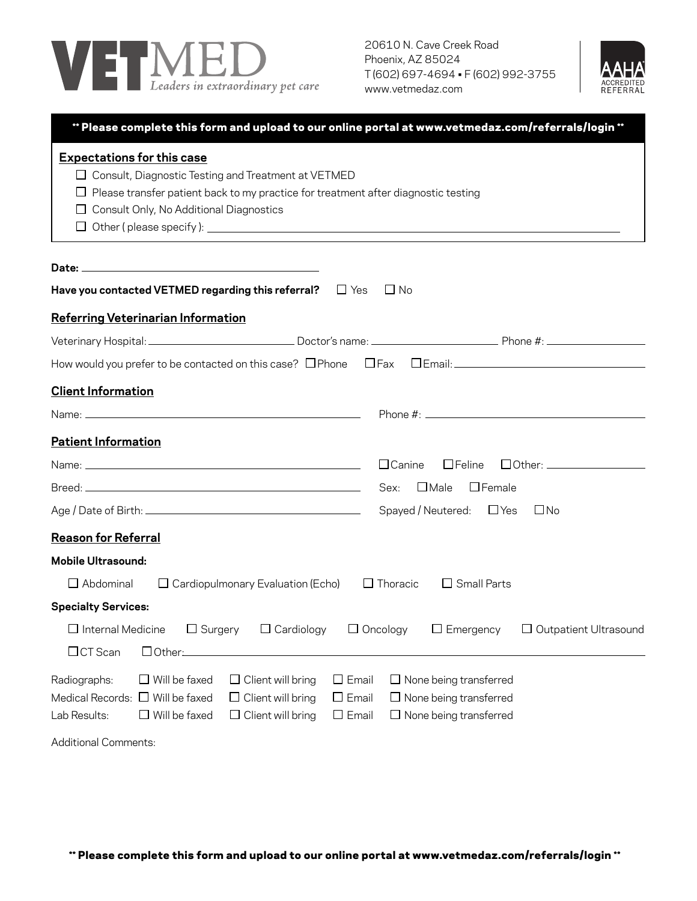

20610 N. Cave Creek Road Phoenix, AZ 85024 T (602) 697-4694 • F (602) 992-3755 www.vetmedaz.com



| ** Please complete this form and upload to our online portal at www.vetmedaz.com/referrals/login **<br><b>Expectations for this case</b><br>$\Box$ Consult, Diagnostic Testing and Treatment at VETMED<br>$\Box$ Please transfer patient back to my practice for treatment after diagnostic testing<br>$\Box$ Consult Only, No Additional Diagnostics |                                                                                                 |
|-------------------------------------------------------------------------------------------------------------------------------------------------------------------------------------------------------------------------------------------------------------------------------------------------------------------------------------------------------|-------------------------------------------------------------------------------------------------|
|                                                                                                                                                                                                                                                                                                                                                       |                                                                                                 |
| Have you contacted VETMED regarding this referral?<br>$\sqcup$ Yes                                                                                                                                                                                                                                                                                    | $\Box$ No                                                                                       |
| <b>Referring Veterinarian Information</b>                                                                                                                                                                                                                                                                                                             |                                                                                                 |
|                                                                                                                                                                                                                                                                                                                                                       |                                                                                                 |
| How would you prefer to be contacted on this case? OPhone OFax OEmail: Contain-                                                                                                                                                                                                                                                                       |                                                                                                 |
| <b>Client Information</b>                                                                                                                                                                                                                                                                                                                             |                                                                                                 |
|                                                                                                                                                                                                                                                                                                                                                       |                                                                                                 |
| <b>Patient Information</b>                                                                                                                                                                                                                                                                                                                            |                                                                                                 |
|                                                                                                                                                                                                                                                                                                                                                       | □ Other: <u>_________________</u><br>$\Box$ Feline<br>$\Box$ Canine                             |
|                                                                                                                                                                                                                                                                                                                                                       |                                                                                                 |
|                                                                                                                                                                                                                                                                                                                                                       | Spayed / Neutered: $\Box$ Yes<br>$\square$ No                                                   |
| <b>Reason for Referral</b>                                                                                                                                                                                                                                                                                                                            |                                                                                                 |
| <b>Mobile Ultrasound:</b>                                                                                                                                                                                                                                                                                                                             |                                                                                                 |
| $\Box$ Abdominal<br>$\Box$ Cardiopulmonary Evaluation (Echo)                                                                                                                                                                                                                                                                                          | $\Box$ Small Parts<br>$\Box$ Thoracic                                                           |
| <b>Specialty Services:</b>                                                                                                                                                                                                                                                                                                                            |                                                                                                 |
| $\square$ Internal Medicine<br>$\Box$ Surgery<br>$\Box$ Cardiology                                                                                                                                                                                                                                                                                    | $\Box$ Oncology<br>$\Box$ Emergency<br>$\Box$ Outpatient Ultrasound                             |
| $\Box$ CT Scan<br>□ Other:                                                                                                                                                                                                                                                                                                                            |                                                                                                 |
| $\Box$ Will be faxed<br>$\Box$ Email<br>$\Box$ Client will bring<br>Radiographs:<br>Medical Records: $\Box$ Will be faxed<br>$\Box$ Client will bring<br>$\Box$ Email<br>Lab Results:<br>$\Box$ Will be faxed<br>$\Box$ Client will bring<br>$\square$ Email                                                                                          | $\Box$ None being transferred<br>$\Box$ None being transferred<br>$\Box$ None being transferred |
| <b>Additional Comments:</b>                                                                                                                                                                                                                                                                                                                           |                                                                                                 |